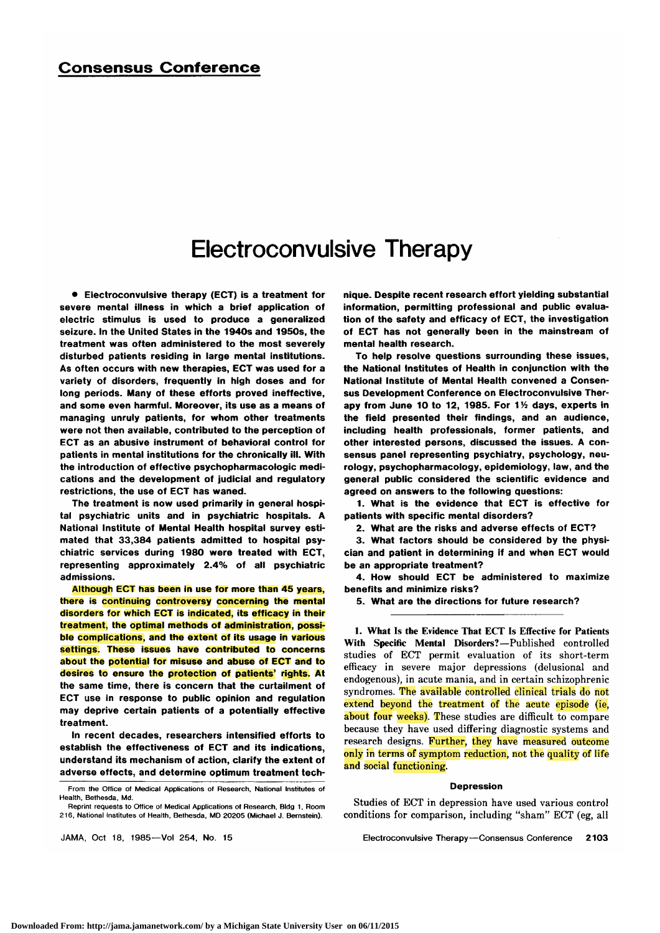# Electroconvulsive Therapy

Electroconvulsive therapy (ECT) is a treatment for severe mental illness in which a brief application of electric stimulus is used to produce a generalized seizure. In the United States in the 1940s and 1950s, the treatment was often administered to the most severely disturbed patients residing in large mental institutions. As often occurs with new therapies, ECT was used for a variety of disorders, frequently in high doses and for long periods. Many of these efforts proved ineffective, and some even harmful. Moreover, its use as a means of managing unruly patients, for whom other treatments were not then available, contributed to the perception of ECT as an abusive instrument of behavioral control for patients in mental institutions for the chronically ill. With the introduction of effective psychopharmacologic medications and the development of judicial and regulatory restrictions, the use of ECT has waned.

The treatment is now used primarily in general hospital psychiatric units and in psychiatric hospitals. A National Institute of Mental Health hospital survey estimated that 33,384 patients admitted to hospital psychiatric services during 1980 were treated with ECT, representing approximately 2.4% of all psychiatric admissions.

Although ECT has been in use for more than 45 years, there is continuing controversy concerning the mental disorders for which ECT is indicated, its efficacy in their treatment, the optimal methods of administration, possible complications, and the extent of its usage in various settings. These issues have contributed to concerns about the potential for misuse and abuse of ECT and to desires to ensure the protection of patients' rights. At the same time, there is concern that the curtailment of ECT use in response to public opinion and regulation may deprive certain patients of a potentially effective treatment.

In recent decades, researchers intensified efforts to establish the effectiveness of ECT and its indications, understand its mechanism of action, clarify the extent of adverse effects, and determine optimum treatment tech-

Reprint requests to Office of Medical Applications of Research, Bldg 1, Room 216, National Institutes of Health, Bethesda, MD 20205 (Michael J. Bernstein).

JAMA, Oct 18, 1985-Vol 254, No. 15

nique. Despite recent research effort yielding substantial information, permitting professional and public evaluation of the safety and efficacy of ECT, the investigation of ECT has not generally been in the mainstream of mental health research.

To help resolve questions surrounding these issues, the National Institutes of Health in conjunction with the National Institute of Mental Health convened a Consensus Development Conference on Electroconvulsive Therapy from June 10 to 12, 1985. For  $1\frac{1}{2}$  days, experts in the field presented their findings, and an audience, including health professionals, former patients, and other interested persons, discussed the issues. A consensus panel representing psychiatry, psychology, neurology, psychopharmacology, epidemiology, law, and the general public considered the scientific evidence and agreed on answers to the following questions:

1. What is the evidence that ECT is effective for patients with specific mental disorders?

2. What are the risks and adverse effects of ECT?

3. What factors should be considered by the physician and patient in determining if and when ECT would be an appropriate treatment?

4. How should ECT be administered to maximize benefits and minimize risks?

5. What are the directions for future research?

1. What Is the Evidence That ECT Is Effective for Patients With Specific Mental Disorders?—Published controlled studies of ECT permit evaluation of its short-term efficacy in severe major depressions (delusional and endogenous), in acute mania, and in certain schizophrenic syndromes. The available controlled clinical trials do not extend beyond the treatment of the acute episode (ie, about four weeks). These studies are difficult to compare because they have used differing diagnostic systems and research designs. Further, they have measured outcome only in terms of symptom reduction, not the quality of life and social functioning.

#### Depression

Studies of ECT in depression have used various control conditions for comparison, including "sham" ECT (eg, all

From the Office of Medical Applications of Research, National Institutes of Health, Bethesda, Md.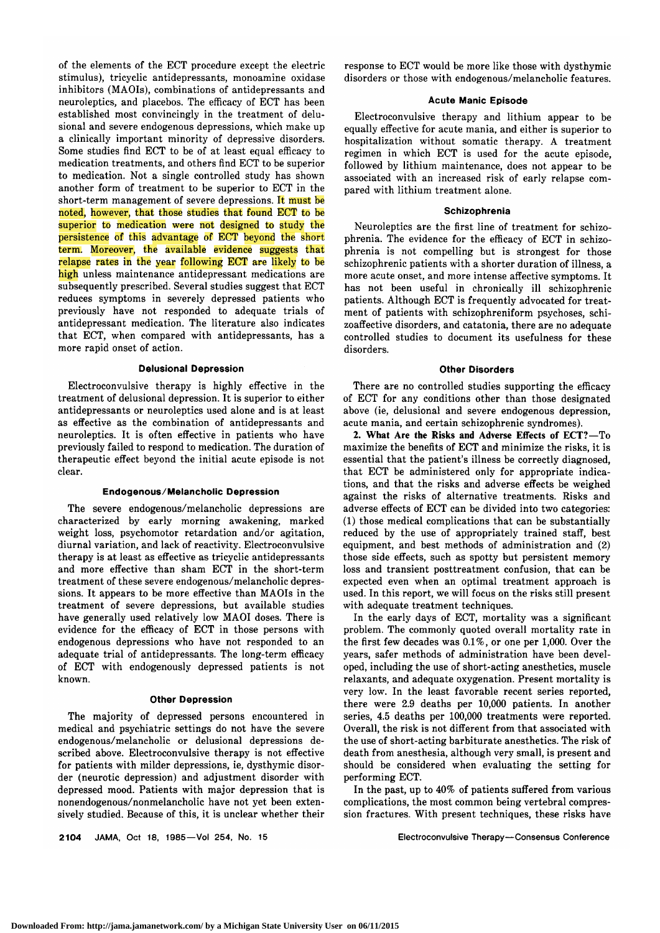of the elements of the ECT procedure except the electric stimulus), tricyelic antidepressants, monoamine oxidase inhibitors (MAOIs), combinations of antidepressants and neuroleptics, and placebos. The efficacy of ECT has been established most convincingly in the treatment of delusional and severe endogenous depressions, which make up <sup>a</sup> clinically important minority of depressive disorders. Some studies find ECT to be of at least equal efficacy to medication treatments, and others find ECT to be superior to medication. Not <sup>a</sup> single controlled study has shown another form of treatment to be superior to ECT in the short-term management of severe depressions. It must be noted, however, that those studies that found ECT to be superior to medication were not designed to study the persistence of this advantage of ECT beyond the short term. Moreover, the available evidence suggests that relapse rates in the year following ECT are likely to be high unless maintenance antidepressant medications are subsequently prescribed. Several studies suggest that ECT reduces symptoms in severely depressed patients who previously have not responded to adequate trials of antidepressant medication. The literature also indicates that ECT, when compared with antidepressants, has <sup>a</sup> more rapid onset of action.

## Delusional Depression

Electroconvulsive therapy is highly effective in the treatment of delusional depression. It is superior to either antidepressants or neuroleptics used alone and is at least as effective as the combination of antidepressants and neuroleptics. It is often effective in patients who have previously failed to respond to medication. The duration of therapeutic effect beyond the initial acute episode is not clear.

## Endogenous/Melancholic Depression

The severe endogenous/melancholic depressions are characterized by early morning awakening, marked weight loss, psychomotor retardation and/or agitation, diurnal variation, and lack of reactivity. Electroconvulsive therapy is at least as effective as tricyelic antidepressants and more effective than sham ECT in the short-term treatment of these severe endogenous/melancholic depressions. It appears to be more effective than MAOIs in the treatment of severe depressions, but available studies have generally used relatively low MAOI doses. There is evidence for the efficacy of ECT in those persons with endogenous depressions who have not responded to an adequate trial of antidepressants. The long-term efficacy of ECT with endogenously depressed patients is not known.

#### Other Depression

The majority of depressed persons encountered in medical and psychiatric settings do not have the severe endogenous/melancholic or delusional depressions described above. Electroconvulsive therapy is not effective for patients with milder depressions, ie, dysthymic disorder (neurotic depression) and adjustment disorder with depressed mood. Patients with major depression that is nonendogenous/nonmelancholic have not yet been exten sively studied. Because of this, it is unclear whether their

response to ECT would be more like those with dysthymic disorders or those with endogenous/melancholic features.

# Acute Manic Episode

Electroconvulsive therapy and lithium appear to be equally effective for acute mania, and either is superior to hospitalization without somatic therapy. A treatment regimen in which ECT is used for the acute episode, followed by lithium maintenance, does not appear to be associated with an increased risk of early relapse com pared with lithium treatment alone.

#### Schizophrenia

Neuroleptics are the first line of treatment for schizophrenia. The evidence for the efficacy of ECT in schizophrenia is not compelling but is strongest for those schizophrenic patients with <sup>a</sup> shorter duration of illness, <sup>a</sup> more acute onset, and more intense affective symptoms. It has not been useful in chronically ill schizophrenic patients. Although ECT is frequently advocated for treatment of patients with schizophreniform psychoses, schizoaffective disorders, and catatonia, there are no adequate controlled studies to document its usefulness for these disorders.

# Other Disorders

There are no controlled studies supporting the efficacy of ECT for any conditions other than those designated above (ie, delusional and severe endogenous depression, acute mania, and certain schizophrenic syndromes).

2. What Are the Risks and Adverse Effects of ECT?—To maximize the benefits of ECT and minimize the risks, it is essential that the patient's illness be correctly diagnosed, that ECT be administered only for appropriate indications, and that the risks and adverse effects be weighed against the risks of alternative treatments. Risks and adverse effects of ECT can be divided into two categories: (1) those medical complications that can be substantially reduced by the use of appropriately trained staff, best equipment, and best methods of administration and (2) those side effects, such as spotty but persistent memory loss and transient posttreatment confusion, that can be expected even when an optimal treatment approach is used. In this report, we will focus on the risks still present with adequate treatment techniques.

In the early days of ECT, mortality was <sup>a</sup> significant problem. The commonly quoted overall mortality rate in the first few decades was 0.1%, or one per 1,000. Over the years, safer methods of administration have been developed, including the use of short-acting anesthetics, muscle relaxants, and adequate oxygenation. Present mortality is very low. In the least favorable recent series reported, there were 2.9 deaths per 10,000 patients. In another series, 4.5 deaths per 100,000 treatments were reported. Overall, the risk is not different from that associated with the use of short-acting barbiturate anesthetics. The risk of death from anesthesia, although very small, is present and should be considered when evaluating the setting for performing ECT.

In the past, up to 40% of patients suffered from various complications, the most common being vertebral compression fractures. With present techniques, these risks have

2104 JAMA, Oct 18, 1985-Vol 254, No. 15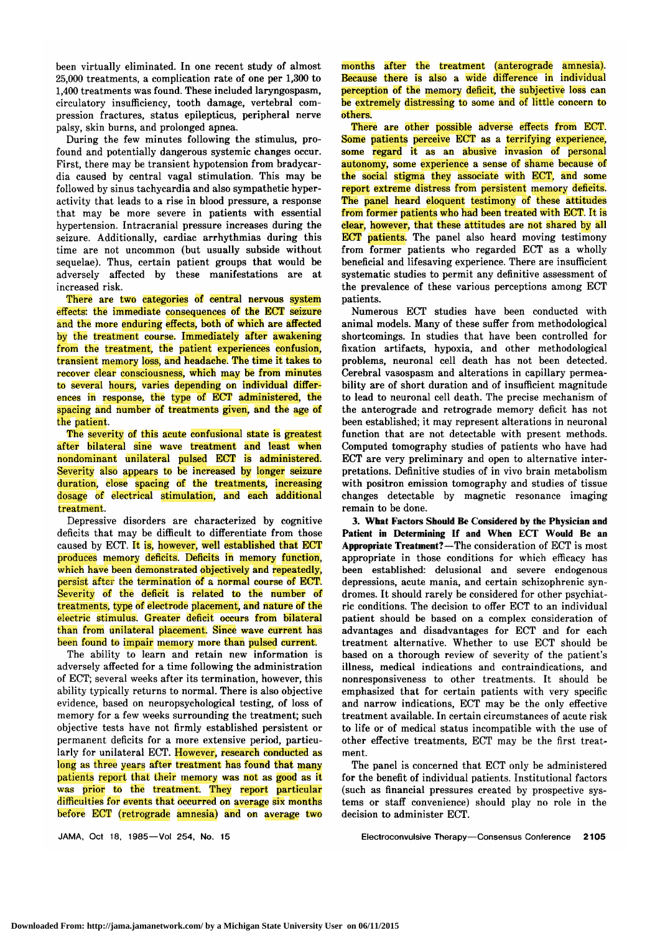been virtually eliminated. In one recent study of almost 25,000 treatments, <sup>a</sup> complication rate of one per 1,300 to 1,400 treatments was found. These included laryngospasm, circulatory insufficiency, tooth damage, vertebral com pression fractures, status epilepticus, peripheral nerve palsy, skin burns, and prolonged apnea.

During the few minutes following the stimulus, profound and potentially dangerous systemic changes occur. First, there may be transient hypotension from bradycardia caused by central vagal stimulation. This may be followed by sinus tachycardia and also sympathetic hyperactivity that leads to <sup>a</sup> rise in blood pressure, <sup>a</sup> response that may be more severe in patients with essential hypertension. Intracranial pressure increases during the seizure. Additionally, cardiac arrhythmias during this time are not uncommon (but usually subside without sequelae). Thus, certain patient groups that would be adversely affected by these manifestations are at increased risk.

There are two categories of central nervous system effects: the immediate consequences of the ECT seizure and the more enduring effects, both of which are affected by the treatment course. Immediately after awakening from the treatment, the patient experiences confusion, transient memory loss, and headache. The time it takes to recover clear consciousness, which may be from minutes to several hours, varies depending on individual differences in response, the type of ECT administered, the spacing and number of treatments given, and the age of the patient.

The severity of this acute confusional state is greatest after bilateral sine wave treatment and least when nondominant unilateral pulsed ECT is administered. Severity also appears to be increased by longer seizure duration, close spacing of the treatments, increasing dosage of electrical stimulation, and each additional treatment.

Depressive disorders are characterized by cognitive deficits that may be difficult to differentiate from those caused by ECT. It is, however, well established that ECT produces memory deficits. Deficits in memory function, which have been demonstrated objectively and repeatedly, persist after the termination of <sup>a</sup> normal course of ECT. Severity of the deficit is related to the number of treatments, type of electrode placement, and nature of the electric stimulus. Greater deficit occurs from bilateral than from unilateral placement. Since wave current has been found to impair memory more than pulsed current.

The ability to learn and retain new information is adversely affected for <sup>a</sup> time following the administration of ECT; several weeks after its termination, however, this ability typically returns to normal. There is also objective evidence, based on neuropsychological testing, of loss of memory for <sup>a</sup> few weeks surrounding the treatment; such objective tests have not firmly established persistent or permanent deficits for a more extensive period, particularly for unilateral ECT. However, research conducted as long as three years after treatment has found that many patients report that their memory was not as good as it was prior to the treatment. They report particular difficulties for events that occurred on average six months before ECT (retrograde amnesia) and on average two months after the treatment (anterograde amnesia). Because there is also a wide difference in individual perception of the memory deficit, the subjective loss can be extremely distressing to some and of little concern to others.

There are other possible adverse effects from ECT. Some patients perceive ECT as <sup>a</sup> terrifying experience, some regard it as an abusive invasion of personal autonomy, some experience a sense of shame because of the social stigma they associate with ECT, and some report extreme distress from persistent memory deficits. The panel heard eloquent testimony of these attitudes from former patients who had been treated with ECT. It is clear, however, that these attitudes are not shared by all ECT patients. The panel also heard moving testimony from former patients who regarded ECT as <sup>a</sup> wholly beneficial and lifesaving experience. There are insufficient systematic studies to permit any definitive assessment of the prevalence of these various perceptions among ECT patients.

Numerous ECT studies have been conducted with animal models. Many of these suffer from methodological shortcomings. In studies that have been controlled for fixation artifacts, hypoxia, and other methodological problems, neuronal cell death has not been detected. Cerebral vasospasm and alterations in capillary permeability are of short duration and of insufficient magnitude to lead to neuronal cell death. The precise mechanism of the anterograde and retrograde memory deficit has not been established; it may represent alterations in neuronal function that are not detectable with present methods. Computed tomography studies of patients who have had ECT are very preliminary and open to alternative interpretations. Definitive studies of in vivo brain metabolism with positron emission tomography and studies of tissue changes detectable by magnetic resonance imaging remain to be done.

3. What Factors Should Be Considered by the Physician and Patient in Determining If and When ECT Would Be an Appropriate Treatment?—The consideration of ECT is most appropriate in those conditions for which efficacy has been established: delusional and severe endogenous depressions, acute mania, and certain schizophrenic syndromes. It should rarely be considered for other psychiatric conditions. The decision to offer ECT to an individual patient should be based on <sup>a</sup> complex consideration of advantages and disadvantages for ECT and for each treatment alternative. Whether to use ECT should be based on a thorough review of severity of the patient's illness, medical indications and contraindications, and nonresponsiveness to other treatments. It should be emphasized that for certain patients with very specific and narrow indications, ECT may be the only effective treatment available. In certain circumstances of acute risk to life or of medical status incompatible with the use of other effective treatments, ECT may be the first treatment.

The panel is concerned that ECT only be administered for the benefit of individual patients. Institutional factors (such as financial pressures created by prospective systems or staff convenience) should play no role in the decision to administer ECT.

JAMA, Oct 18, 1985-Vol 254, No. 15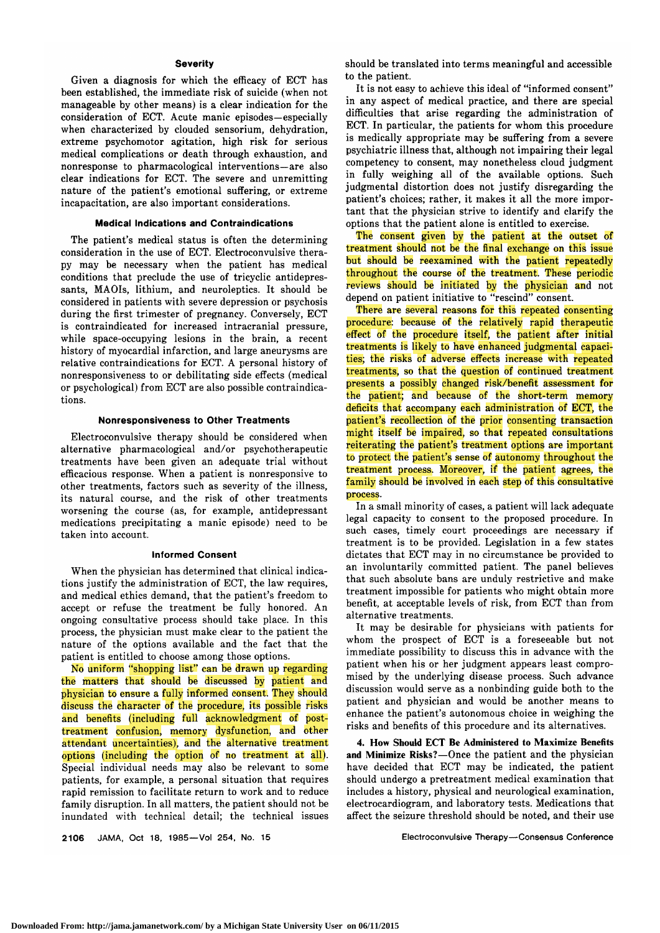#### Severity

Given <sup>a</sup> diagnosis for which the efficacy of ECT has been established, the immediate risk of suicide (when not manageable by other means) is <sup>a</sup> clear indication for the consideration of ECT. Acute manic episodes—especially when characterized by clouded sensorium, dehydration, extreme psychomotor agitation, high risk for serious medical complications or death through exhaustion, and nonresponse to pharmacological interventions—are also clear indications for ECT. The severe and unremitting nature of the patient's emotional suffering, or extreme incapacitation, are also important considerations.

## Medical Indications and Contraindications

The patient's medical status is often the determining consideration in the use of ECT. Electroconvulsive therapy may be necessary when the patient has medical conditions that preclude the use of tricyclic antidepressants, MAOIs, lithium, and neuroleptics. It should be considered in patients with severe depression or psychosis during the first trimester of pregnancy. Conversely, ECT is contraindicated for increased intracranial pressure, while space-occupying lesions in the brain, <sup>a</sup> recent history of myocardial infarction, and large aneurysms are relative contraindications for ECT. A personal history of nonresponsiveness to or debilitating side effects (medical or psychological) from ECT are also possible contraindications.

# Nonresponsiveness to Other Treatments

Electroconvulsive therapy should be considered when alternative pharmacological and/or psychotherapeutic treatments have been given an adequate trial without efficacious response. When <sup>a</sup> patient is nonresponsive to other treatments, factors such as severity of the illness, its natural course, and the risk of other treatments worsening the course (as, for example, antidepressant medications precipitating <sup>a</sup> manic episode) need to be taken into account.

# Informed Consent

When the physician has determined that clinical indications justify the administration of ECT, the law requires, and medical ethics demand, that the patient's freedom to accept or refuse the treatment be fully honored. An ongoing consultative process should take place. In this process, the physician must make clear to the patient the nature of the options available and the fact that the patient is entitled to choose among those options.

No uniform "shopping list" can be drawn up regarding the matters that should be discussed by patient and physician to ensure <sup>a</sup> fully informed consent. They should discuss the character of the procedure, its possible risks and benefits (including full acknowledgment of posttreatment confusion, memory dysfunction, and other attendant uncertainties), and the alternative treatment options (including the option of no treatment at all). Special individual needs may also be relevant to some patients, for example, <sup>a</sup> personal situation that requires rapid remission to facilitate return to work and to reduce family disruption. In all matters, the patient should not be inundated with technical detail; the technical issues should be translated into terms meaningful and accessible to the patient.

It is not easy to achieve this ideal of "informed consent" in any aspect of medical practice, and there are special difficulties that arise regarding the administration of ECT. In particular, the patients for whom this procedure is medically appropriate may be suffering from <sup>a</sup> severe psychiatric illness that, although not impairing their legal competency to consent, may nonetheless cloud judgment in fully weighing all of the available options. Such judgmental distortion does not justify disregarding the patient's choices; rather, it makes it all the more important that the physician strive to identify and clarify the options that the patient alone is entitled to exercise.

The consent given by the patient at the outset of treatment should not be the final exchange on this issue but should be reexamined with the patient repeatedly throughout the course of the treatment. These periodic reviews should be initiated by the physician and not depend on patient initiative to "rescind" consent.

There are several reasons for this repeated consenting procedure: because of the relatively rapid therapeutic effect of the procedure itself, the patient after initial treatments is likely to have enhanced judgmental capacities; the risks of adverse effects increase with repeated treatments, so that the question of continued treatment presents <sup>a</sup> possibly changed risk/benefit assessment for the patient; and because of the short-term memory deficits that accompany each administration of ECT, the patient's recollection of the prior consenting transaction might itself be impaired, so that repeated consultations reiterating the patient's treatment options are important to protect the patient's sense of autonomy throughout the treatment process. Moreover, if the patient agrees, the family should be involved in each step of this consultative process.

In <sup>a</sup> small minority of cases, <sup>a</sup> patient will lack adequate legal capacity to consent to the proposed procedure. In such cases, timely court proceedings are necessary if treatment is to be provided. Legislation in <sup>a</sup> few states dictates that ECT may in no circumstance be provided to an involuntarily committed patient. The panel believes that such absolute bans are unduly restrictive and make treatment impossible for patients who might obtain more benefit, at acceptable levels of risk, from ECT than from alternative treatments.

It may be desirable for physicians with patients for whom the prospect of ECT is <sup>a</sup> foreseeable but not immediate possibility to discuss this in advance with the patient when his or her judgment appears least compromised by the underlying disease process. Such advance discussion would serve as a nonbinding guide both to the patient and physician and would be another means to enhance the patient's autonomous choice in weighing the risks and benefits of this procedure and its alternatives.

4. How Should ECT Be Administered to Maximize Benefits and Minimize Risks?—Once the patient and the physician have decided that ECT may be indicated, the patient should undergo <sup>a</sup> pretreatment medical examination that includes <sup>a</sup> history, physical and neurological examination, electrocardiogram, and laboratory tests. Medications that affect the seizure threshold should be noted, and their use

2106 JAMA, Oct 18, 1985-Vol 254, No. 15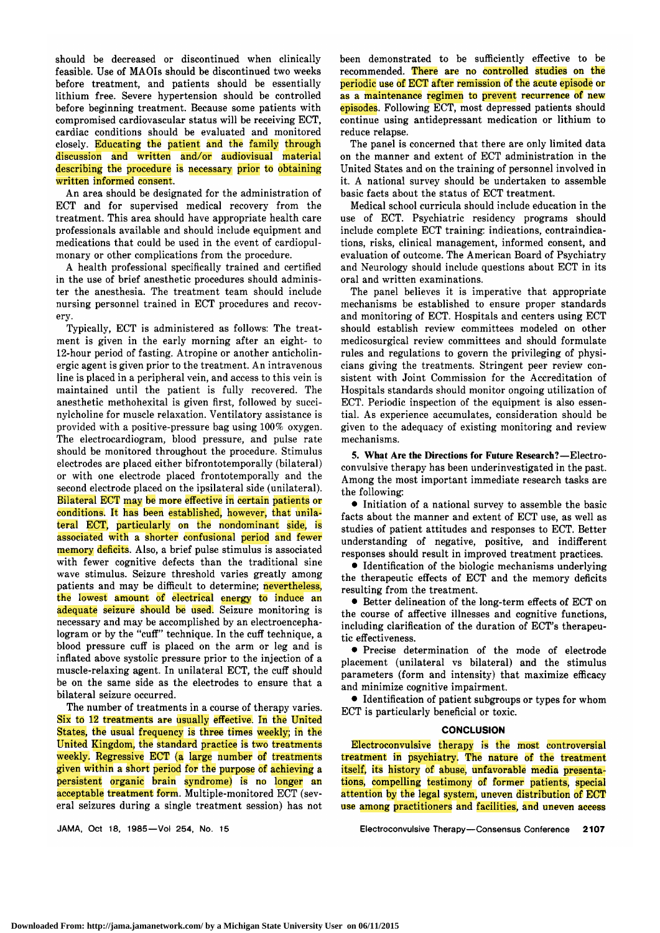should be decreased or discontinued when clinically feasible. Use of MAOIs should be discontinued two weeks before treatment, and patients should be essentially lithium free. Severe hypertension should be controlled before beginning treatment. Because some patients with compromised cardiovascular status will be receiving ECT, cardiac conditions should be evaluated and monitored closely. Educating the patient and the family through discussion and written and/or audiovisual material describing the procedure is necessary prior to obtaining written informed consent.

An area should be designated for the administration of ECT and for supervised medical recovery from the treatment. This area should have appropriate health care professionals available and should include equipment and medications that could be used in the event of cardiopulmonary or other complications from the procedure.

A health professional specifically trained and certified in the use of brief anesthetic procedures should administer the anesthesia. The treatment team should include nursing personnel trained in ECT procedures and recovery.

Typically, ECT is administered as follows: The treatment is given in the early morning after an eight- to 12-hour period of fasting. Atropine or another anticholinergic agent is given prior to the treatment. An intravenous line is placed in <sup>a</sup> peripheral vein, and access to this vein is maintained until the patient is fully recovered. The anesthetic methohexital is given first, followed by succinylcholine for muscle relaxation. Ventilatory assistance is provided with <sup>a</sup> positive-pressure bag using 100% oxygen. The electrocardiogram, blood pressure, and pulse rate should be monitored throughout the procedure. Stimulus electrodes are placed either bifrontotemporally (bilateral) or with one electrode placed frontotemporally and the second electrode placed on the ipsilateral side (unilateral). Bilateral ECT may be more effective in certain patients or conditions. It has been established, however, that unilateral ECT, particularly on the nondominant side, is associated with <sup>a</sup> shorter confusional period and fewer memory deficits. Also, a brief pulse stimulus is associated with fewer cognitive defects than the traditional sine wave stimulus. Seizure threshold varies greatly among patients and may be difficult to determine; nevertheless, the lowest amount of electrical energy to induce an adequate seizure should be used. Seizure monitoring is necessary and may be accomplished by an electroencephalogram or by the "cuff" technique. In the cuff technique, <sup>a</sup> blood pressure cuff is placed on the arm or leg and is inflated above systolic pressure prior to the injection of <sup>a</sup> muscle-relaxing agent. In unilateral ECT, the cuff should be on the same side as the electrodes to ensure that a bilateral seizure occurred.

The number of treatments in <sup>a</sup> course of therapy varies. Six to <sup>12</sup> treatments are usually effective. In the United States, the usual frequency is three times weekly; in the United Kingdom, the standard practice is two treatments weekly. Regressive ECT (a large number of treatments given within <sup>a</sup> short period for the purpose of achieving <sup>a</sup> persistent organic brain syndrome) is no longer an acceptable treatment form. Multiple-monitored ECT (several seizures during <sup>a</sup> single treatment session) has not

JAMA, Oct 18, 1985-Vol 254, No. 15

been demonstrated to be sufficiently effective to be recommended. There are no controlled studies on the periodic use of ECT after remission of the acute episode or as <sup>a</sup> maintenance regimen to prevent recurrence of new episodes. Following ECT, most depressed patients should continue using antidepressant medication or lithium to reduce relapse.

The panel is concerned that there are only limited data on the manner and extent of ECT administration in the United States and on the training of personnel involved in it. A national survey should be undertaken to assemble basic facts about the status of ECT treatment.

Medical school curricula should include education in the use of ECT. Psychiatric residency programs should include complete ECT training: indications, contraindications, risks, clinical management, informed consent, and evaluation of outcome. The American Board of Psychiatry and Neurology should include questions about ECT in its oral and written examinations.

The panel believes it is imperative that appropriate mechanisms be established to ensure proper standards and monitoring of ECT. Hospitals and centers using ECT should establish review committees modeled on other medicosurgical review committees and should formulate rules and regulations to govern the privileging of physicians giving the treatments. Stringent peer review consistent with Joint Commission for the Accreditation of Hospitals standards should monitor ongoing utilization of ECT. Periodic inspection of the equipment is also essential. As experience accumulates, consideration should be given to the adequacy of existing monitoring and review mechanisms.

5. What Are the Directions for Future Research?-Electroconvulsive therapy has been underinvestigated in the past. Among the most important immediate research tasks are the following:

• Initiation of <sup>a</sup> national survey to assemble the basic facts about the manner and extent of ECT use, as well as studies of patient attitudes and responses to ECT. Better understanding of negative, positive, and indifferent responses should result in improved treatment practices.

• Identification of the biologic mechanisms underlying the therapeutic effects of ECT and the memory deficits resulting from the treatment.

• Better delineation of the long-term effects of ECT on the course of affective illnesses and cognitive functions, including clarification of the duration of ECT's therapeutic effectiveness.

• Precise determination of the mode of electrode placement (unilateral vs bilateral) and the stimulus parameters (form and intensity) that maximize efficacy and minimize cognitive impairment.

• Identification of patient subgroups or types for whom ECT is particularly beneficial or toxic.

## **CONCLUSION**

Electroconvulsive therapy is the most controversial treatment in psychiatry. The nature of the treatment itself, its history of abuse, unfavorable media presentations, compelling testimony of former patients, special attention by the legal system, uneven distribution of ECT use among practitioners and facilities, and uneven access